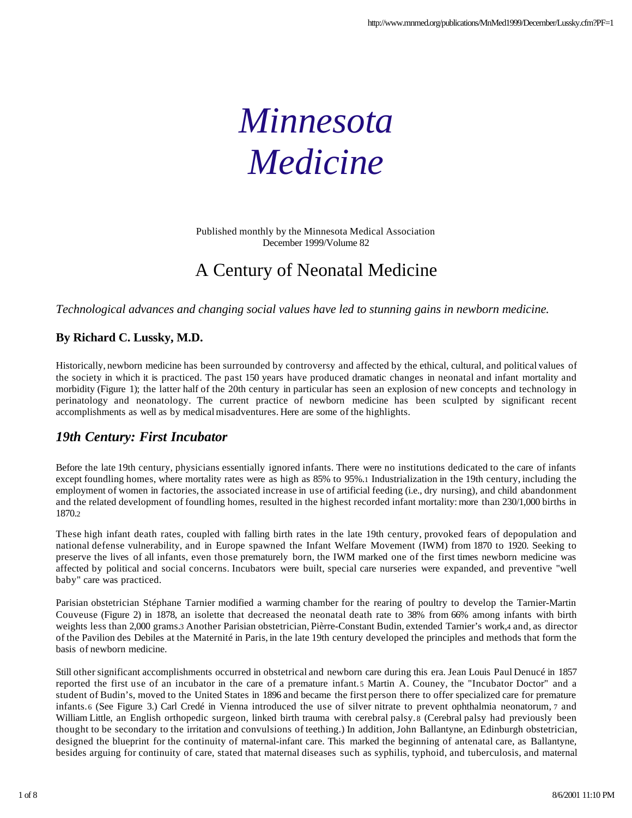# *Minnesota Medicine*

Published monthly by the Minnesota Medical Association December 1999/Volume 82

## A Century of Neonatal Medicine

*Technological advances and changing social values have led to stunning gains in newborn medicine.*

#### **By Richard C. Lussky, M.D.**

Historically, newborn medicine has been surrounded by controversy and affected by the ethical, cultural, and political values of the society in which it is practiced. The past 150 years have produced dramatic changes in neonatal and infant mortality and morbidity (Figure 1); the latter half of the 20th century in particular has seen an explosion of new concepts and technology in perinatology and neonatology. The current practice of newborn medicine has been sculpted by significant recent accomplishments as well as by medical misadventures. Here are some of the highlights.

#### *19th Century: First Incubator*

Before the late 19th century, physicians essentially ignored infants. There were no institutions dedicated to the care of infants except foundling homes, where mortality rates were as high as 85% to 95%.1 Industrialization in the 19th century, including the employment of women in factories, the associated increase in use of artificial feeding (i.e., dry nursing), and child abandonment and the related development of foundling homes, resulted in the highest recorded infant mortality: more than 230/1,000 births in 1870.2

These high infant death rates, coupled with falling birth rates in the late 19th century, provoked fears of depopulation and national defense vulnerability, and in Europe spawned the Infant Welfare Movement (IWM) from 1870 to 1920. Seeking to preserve the lives of all infants, even those prematurely born, the IWM marked one of the first times newborn medicine was affected by political and social concerns. Incubators were built, special care nurseries were expanded, and preventive "well baby" care was practiced.

Parisian obstetrician Stéphane Tarnier modified a warming chamber for the rearing of poultry to develop the Tarnier-Martin Couveuse (Figure 2) in 1878, an isolette that decreased the neonatal death rate to 38% from 66% among infants with birth weights less than 2,000 grams.3 Another Parisian obstetrician, Pièrre-Constant Budin, extended Tarnier's work,4 and, as director of the Pavilion des Debiles at the Maternité in Paris, in the late 19th century developed the principles and methods that form the basis of newborn medicine.

Still other significant accomplishments occurred in obstetrical and newborn care during this era. Jean Louis Paul Denucé in 1857 reported the first use of an incubator in the care of a premature infant.5 Martin A. Couney, the "Incubator Doctor" and a student of Budin's, moved to the United States in 1896 and became the first person there to offer specialized care for premature infants. 6 (See Figure 3.) Carl Credé in Vienna introduced the use of silver nitrate to prevent ophthalmia neonatorum, 7 and William Little, an English orthopedic surgeon, linked birth trauma with cerebral palsy. 8 (Cerebral palsy had previously been thought to be secondary to the irritation and convulsions of teething.) In addition, John Ballantyne, an Edinburgh obstetrician, designed the blueprint for the continuity of maternal-infant care. This marked the beginning of antenatal care, as Ballantyne, besides arguing for continuity of care, stated that maternal diseases such as syphilis, typhoid, and tuberculosis, and maternal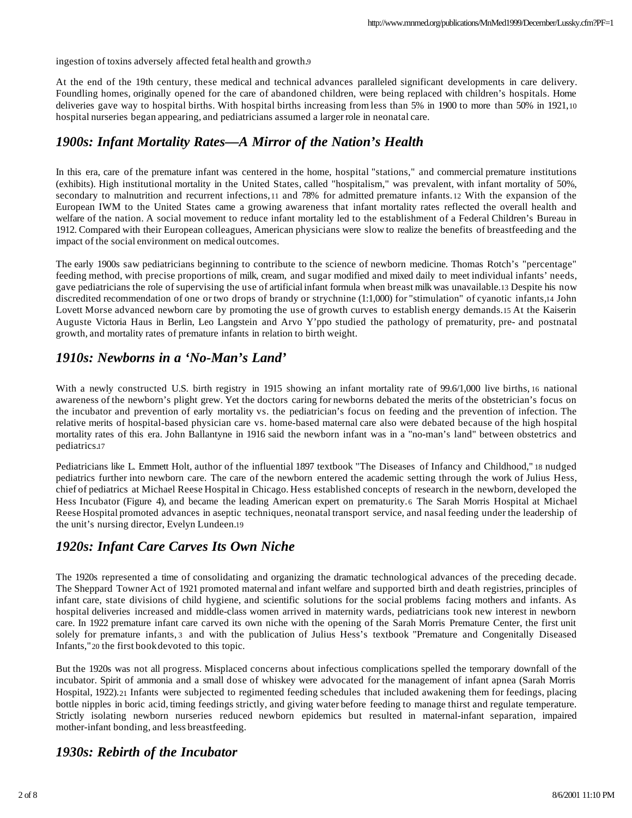ingestion of toxins adversely affected fetal health and growth.9

At the end of the 19th century, these medical and technical advances paralleled significant developments in care delivery. Foundling homes, originally opened for the care of abandoned children, were being replaced with children's hospitals. Home deliveries gave way to hospital births. With hospital births increasing from less than 5% in 1900 to more than 50% in 1921,10 hospital nurseries began appearing, and pediatricians assumed a larger role in neonatal care.

#### *1900s: Infant Mortality Rates—A Mirror of the Nation's Health*

In this era, care of the premature infant was centered in the home, hospital "stations," and commercial premature institutions (exhibits). High institutional mortality in the United States, called "hospitalism," was prevalent, with infant mortality of 50%, secondary to malnutrition and recurrent infections,11 and 78% for admitted premature infants. 12 With the expansion of the European IWM to the United States came a growing awareness that infant mortality rates reflected the overall health and welfare of the nation. A social movement to reduce infant mortality led to the establishment of a Federal Children's Bureau in 1912. Compared with their European colleagues, American physicians were slow to realize the benefits of breastfeeding and the impact of the social environment on medical outcomes.

The early 1900s saw pediatricians beginning to contribute to the science of newborn medicine. Thomas Rotch's "percentage" feeding method, with precise proportions of milk, cream, and sugar modified and mixed daily to meet individual infants' needs, gave pediatricians the role of supervising the use of artificial infant formula when breast milk was unavailable.13 Despite his now discredited recommendation of one or two drops of brandy or strychnine (1:1,000) for "stimulation" of cyanotic infants,14 John Lovett Morse advanced newborn care by promoting the use of growth curves to establish energy demands.15 At the Kaiserin Auguste Victoria Haus in Berlin, Leo Langstein and Arvo Y'ppo studied the pathology of prematurity, pre- and postnatal growth, and mortality rates of premature infants in relation to birth weight.

#### *1910s: Newborns in a 'No-Man's Land'*

With a newly constructed U.S. birth registry in 1915 showing an infant mortality rate of 99.6/1,000 live births, 16 national awareness of the newborn's plight grew. Yet the doctors caring for newborns debated the merits of the obstetrician's focus on the incubator and prevention of early mortality vs. the pediatrician's focus on feeding and the prevention of infection. The relative merits of hospital-based physician care vs. home-based maternal care also were debated because of the high hospital mortality rates of this era. John Ballantyne in 1916 said the newborn infant was in a "no-man's land" between obstetrics and pediatrics.17

Pediatricians like L. Emmett Holt, author of the influential 1897 textbook "The Diseases of Infancy and Childhood," 18 nudged pediatrics further into newborn care. The care of the newborn entered the academic setting through the work of Julius Hess, chief of pediatrics at Michael Reese Hospital in Chicago. Hess established concepts of research in the newborn, developed the Hess Incubator (Figure 4), and became the leading American expert on prematurity.6 The Sarah Morris Hospital at Michael Reese Hospital promoted advances in aseptic techniques, neonatal transport service, and nasal feeding under the leadership of the unit's nursing director, Evelyn Lundeen.19

#### *1920s: Infant Care Carves Its Own Niche*

The 1920s represented a time of consolidating and organizing the dramatic technological advances of the preceding decade. The Sheppard Towner Act of 1921 promoted maternal and infant welfare and supported birth and death registries, principles of infant care, state divisions of child hygiene, and scientific solutions for the social problems facing mothers and infants. As hospital deliveries increased and middle-class women arrived in maternity wards, pediatricians took new interest in newborn care. In 1922 premature infant care carved its own niche with the opening of the Sarah Morris Premature Center, the first unit solely for premature infants, 3 and with the publication of Julius Hess's textbook "Premature and Congenitally Diseased Infants,"20 the first book devoted to this topic.

But the 1920s was not all progress. Misplaced concerns about infectious complications spelled the temporary downfall of the incubator. Spirit of ammonia and a small dose of whiskey were advocated for the management of infant apnea (Sarah Morris Hospital, 1922).21 Infants were subjected to regimented feeding schedules that included awakening them for feedings, placing bottle nipples in boric acid, timing feedings strictly, and giving water before feeding to manage thirst and regulate temperature. Strictly isolating newborn nurseries reduced newborn epidemics but resulted in maternal-infant separation, impaired mother-infant bonding, and less breastfeeding.

#### *1930s: Rebirth of the Incubator*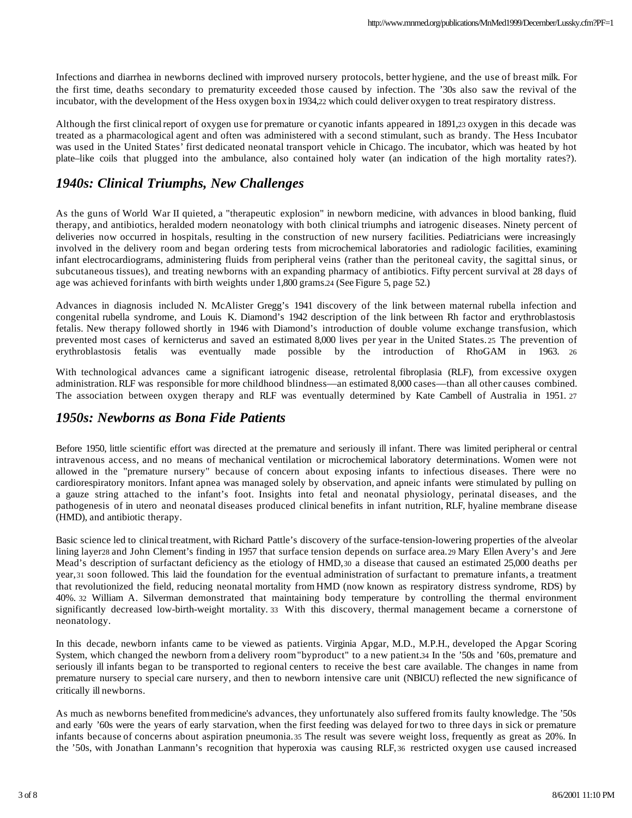Infections and diarrhea in newborns declined with improved nursery protocols, better hygiene, and the use of breast milk. For the first time, deaths secondary to prematurity exceeded those caused by infection. The '30s also saw the revival of the incubator, with the development of the Hess oxygen box in 1934,22 which could deliver oxygen to treat respiratory distress.

Although the first clinical report of oxygen use for premature or cyanotic infants appeared in 1891,23 oxygen in this decade was treated as a pharmacological agent and often was administered with a second stimulant, such as brandy. The Hess Incubator was used in the United States' first dedicated neonatal transport vehicle in Chicago. The incubator, which was heated by hot plate–like coils that plugged into the ambulance, also contained holy water (an indication of the high mortality rates?).

### *1940s: Clinical Triumphs, New Challenges*

As the guns of World War II quieted, a "therapeutic explosion" in newborn medicine, with advances in blood banking, fluid therapy, and antibiotics, heralded modern neonatology with both clinical triumphs and iatrogenic diseases. Ninety percent of deliveries now occurred in hospitals, resulting in the construction of new nursery facilities. Pediatricians were increasingly involved in the delivery room and began ordering tests from microchemical laboratories and radiologic facilities, examining infant electrocardiograms, administering fluids from peripheral veins (rather than the peritoneal cavity, the sagittal sinus, or subcutaneous tissues), and treating newborns with an expanding pharmacy of antibiotics. Fifty percent survival at 28 days of age was achieved for infants with birth weights under 1,800 grams.24 (See Figure 5, page 52.)

Advances in diagnosis included N. McAlister Gregg's 1941 discovery of the link between maternal rubella infection and congenital rubella syndrome, and Louis K. Diamond's 1942 description of the link between Rh factor and erythroblastosis fetalis. New therapy followed shortly in 1946 with Diamond's introduction of double volume exchange transfusion, which prevented most cases of kernicterus and saved an estimated 8,000 lives per year in the United States. 25 The prevention of erythroblastosis fetalis was eventually made possible by the introduction of RhoGAM in 1963. 26

With technological advances came a significant iatrogenic disease, retrolental fibroplasia (RLF), from excessive oxygen administration. RLF was responsible for more childhood blindness—an estimated 8,000 cases—than all other causes combined. The association between oxygen therapy and RLF was eventually determined by Kate Cambell of Australia in 1951. 27

#### *1950s: Newborns as Bona Fide Patients*

Before 1950, little scientific effort was directed at the premature and seriously ill infant. There was limited peripheral or central intravenous access, and no means of mechanical ventilation or microchemical laboratory determinations. Women were not allowed in the "premature nursery" because of concern about exposing infants to infectious diseases. There were no cardiorespiratory monitors. Infant apnea was managed solely by observation, and apneic infants were stimulated by pulling on a gauze string attached to the infant's foot. Insights into fetal and neonatal physiology, perinatal diseases, and the pathogenesis of in utero and neonatal diseases produced clinical benefits in infant nutrition, RLF, hyaline membrane disease (HMD), and antibiotic therapy.

Basic science led to clinical treatment, with Richard Pattle's discovery of the surface-tension-lowering properties of the alveolar lining layer28 and John Clement's finding in 1957 that surface tension depends on surface area.29 Mary Ellen Avery's and Jere Mead's description of surfactant deficiency as the etiology of HMD,30 a disease that caused an estimated 25,000 deaths per year,31 soon followed. This laid the foundation for the eventual administration of surfactant to premature infants, a treatment that revolutionized the field, reducing neonatal mortality from HMD (now known as respiratory distress syndrome, RDS) by 40%. 32 William A. Silverman demonstrated that maintaining body temperature by controlling the thermal environment significantly decreased low-birth-weight mortality. 33 With this discovery, thermal management became a cornerstone of neonatology.

In this decade, newborn infants came to be viewed as patients. Virginia Apgar, M.D., M.P.H., developed the Apgar Scoring System, which changed the newborn from a delivery room "byproduct" to a new patient.34 In the '50s and '60s, premature and seriously ill infants began to be transported to regional centers to receive the best care available. The changes in name from premature nursery to special care nursery, and then to newborn intensive care unit (NBICU) reflected the new significance of critically ill newborns.

As much as newborns benefited from medicine's advances, they unfortunately also suffered from its faulty knowledge. The '50s and early '60s were the years of early starvation, when the first feeding was delayed for two to three days in sick or premature infants because of concerns about aspiration pneumonia.35 The result was severe weight loss, frequently as great as 20%. In the '50s, with Jonathan Lanmann's recognition that hyperoxia was causing RLF, 36 restricted oxygen use caused increased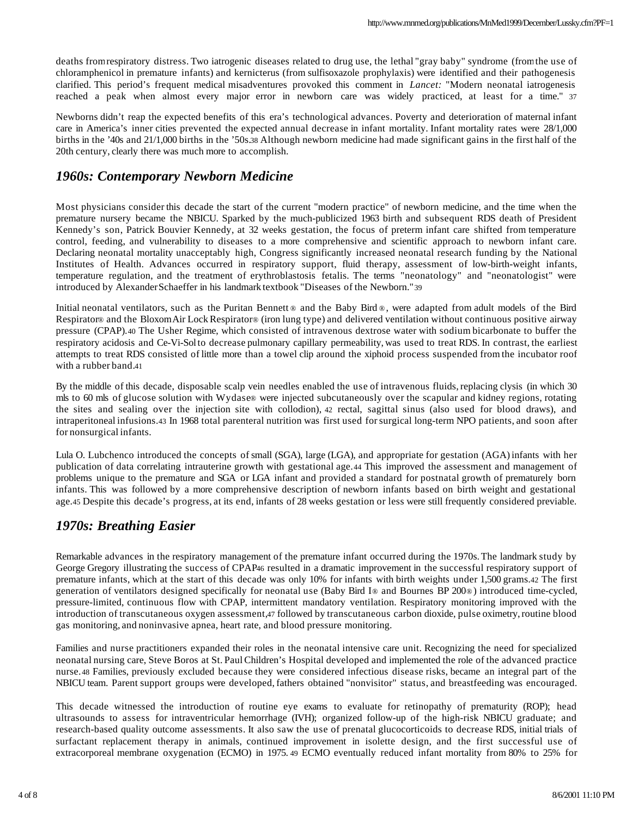deaths from respiratory distress. Two iatrogenic diseases related to drug use, the lethal "gray baby" syndrome (from the use of chloramphenicol in premature infants) and kernicterus (from sulfisoxazole prophylaxis) were identified and their pathogenesis clarified. This period's frequent medical misadventures provoked this comment in *Lancet:* "Modern neonatal iatrogenesis reached a peak when almost every major error in newborn care was widely practiced, at least for a time." 37

Newborns didn't reap the expected benefits of this era's technological advances. Poverty and deterioration of maternal infant care in America's inner cities prevented the expected annual decrease in infant mortality. Infant mortality rates were 28/1,000 births in the '40s and 21/1,000 births in the '50s.38 Although newborn medicine had made significant gains in the first half of the 20th century, clearly there was much more to accomplish.

#### *1960s: Contemporary Newborn Medicine*

Most physicians consider this decade the start of the current "modern practice" of newborn medicine, and the time when the premature nursery became the NBICU. Sparked by the much-publicized 1963 birth and subsequent RDS death of President Kennedy's son, Patrick Bouvier Kennedy, at 32 weeks gestation, the focus of preterm infant care shifted from temperature control, feeding, and vulnerability to diseases to a more comprehensive and scientific approach to newborn infant care. Declaring neonatal mortality unacceptably high, Congress significantly increased neonatal research funding by the National Institutes of Health. Advances occurred in respiratory support, fluid therapy, assessment of low-birth-weight infants, temperature regulation, and the treatment of erythroblastosis fetalis. The terms "neonatology" and "neonatologist" were introduced by Alexander Schaeffer in his landmark textbook "Diseases of the Newborn."39

Initial neonatal ventilators, such as the Puritan Bennett  $\circ$  and the Baby Bird  $\circ$ , were adapted from adult models of the Bird Respirator® and the Bloxom Air Lock Respirator® (iron lung type) and delivered ventilation without continuous positive airway pressure (CPAP).40 The Usher Regime, which consisted of intravenous dextrose water with sodium bicarbonate to buffer the respiratory acidosis and Ce-Vi-Sol to decrease pulmonary capillary permeability, was used to treat RDS. In contrast, the earliest attempts to treat RDS consisted of little more than a towel clip around the xiphoid process suspended from the incubator roof with a rubber band.41

By the middle of this decade, disposable scalp vein needles enabled the use of intravenous fluids, replacing clysis (in which 30 mls to 60 mls of glucose solution with Wydase® were injected subcutaneously over the scapular and kidney regions, rotating the sites and sealing over the injection site with collodion), 42 rectal, sagittal sinus (also used for blood draws), and intraperitoneal infusions.43 In 1968 total parenteral nutrition was first used for surgical long-term NPO patients, and soon after for nonsurgical infants.

Lula O. Lubchenco introduced the concepts of small (SGA), large (LGA), and appropriate for gestation (AGA) infants with her publication of data correlating intrauterine growth with gestational age.44 This improved the assessment and management of problems unique to the premature and SGA or LGA infant and provided a standard for postnatal growth of prematurely born infants. This was followed by a more comprehensive description of newborn infants based on birth weight and gestational age.45 Despite this decade's progress, at its end, infants of 28 weeks gestation or less were still frequently considered previable.

#### *1970s: Breathing Easier*

Remarkable advances in the respiratory management of the premature infant occurred during the 1970s. The landmark study by George Gregory illustrating the success of CPAP46 resulted in a dramatic improvement in the successful respiratory support of premature infants, which at the start of this decade was only 10% for infants with birth weights under 1,500 grams.42 The first generation of ventilators designed specifically for neonatal use (Baby Bird I® and Bournes BP 200®) introduced time-cycled, pressure-limited, continuous flow with CPAP, intermittent mandatory ventilation. Respiratory monitoring improved with the introduction of transcutaneous oxygen assessment,47 followed by transcutaneous carbon dioxide, pulse oximetry, routine blood gas monitoring, and noninvasive apnea, heart rate, and blood pressure monitoring.

Families and nurse practitioners expanded their roles in the neonatal intensive care unit. Recognizing the need for specialized neonatal nursing care, Steve Boros at St. Paul Children's Hospital developed and implemented the role of the advanced practice nurse. 48 Families, previously excluded because they were considered infectious disease risks, became an integral part of the NBICU team. Parent support groups were developed, fathers obtained "nonvisitor" status, and breastfeeding was encouraged.

This decade witnessed the introduction of routine eye exams to evaluate for retinopathy of prematurity (ROP); head ultrasounds to assess for intraventricular hemorrhage (IVH); organized follow-up of the high-risk NBICU graduate; and research-based quality outcome assessments. It also saw the use of prenatal glucocorticoids to decrease RDS, initial trials of surfactant replacement therapy in animals, continued improvement in isolette design, and the first successful use of extracorporeal membrane oxygenation (ECMO) in 1975. 49 ECMO eventually reduced infant mortality from 80% to 25% for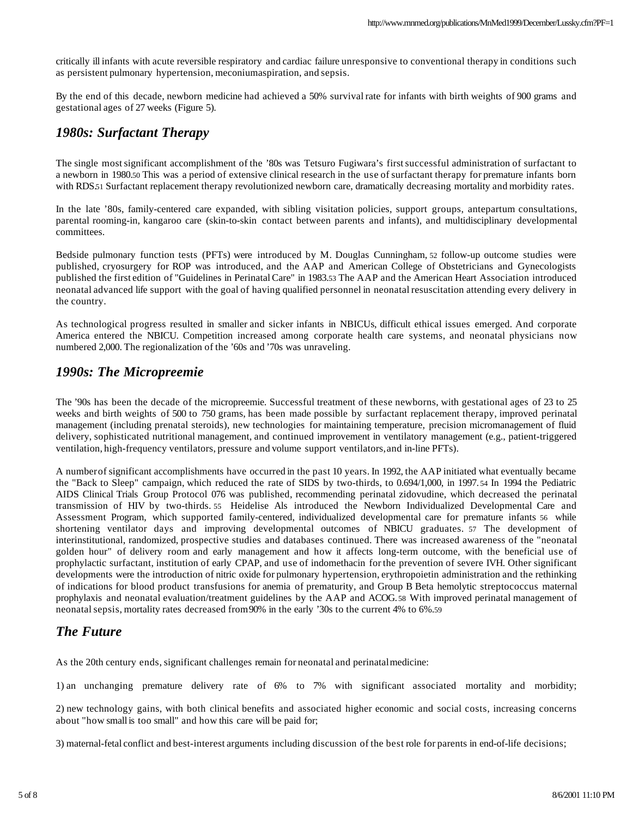critically ill infants with acute reversible respiratory and cardiac failure unresponsive to conventional therapy in conditions such as persistent pulmonary hypertension, meconium aspiration, and sepsis.

By the end of this decade, newborn medicine had achieved a 50% survival rate for infants with birth weights of 900 grams and gestational ages of 27 weeks (Figure 5).

#### *1980s: Surfactant Therapy*

The single most significant accomplishment of the '80s was Tetsuro Fugiwara's first successful administration of surfactant to a newborn in 1980.50 This was a period of extensive clinical research in the use of surfactant therapy for premature infants born with RDS.51 Surfactant replacement therapy revolutionized newborn care, dramatically decreasing mortality and morbidity rates.

In the late '80s, family-centered care expanded, with sibling visitation policies, support groups, antepartum consultations, parental rooming-in, kangaroo care (skin-to-skin contact between parents and infants), and multidisciplinary developmental committees.

Bedside pulmonary function tests (PFTs) were introduced by M. Douglas Cunningham, 52 follow-up outcome studies were published, cryosurgery for ROP was introduced, and the AAP and American College of Obstetricians and Gynecologists published the first edition of "Guidelines in Perinatal Care" in 1983.53 The AAP and the American Heart Association introduced neonatal advanced life support with the goal of having qualified personnel in neonatal resuscitation attending every delivery in the country.

As technological progress resulted in smaller and sicker infants in NBICUs, difficult ethical issues emerged. And corporate America entered the NBICU. Competition increased among corporate health care systems, and neonatal physicians now numbered 2,000. The regionalization of the '60s and '70s was unraveling.

#### *1990s: The Micropreemie*

The '90s has been the decade of the micropreemie. Successful treatment of these newborns, with gestational ages of 23 to 25 weeks and birth weights of 500 to 750 grams, has been made possible by surfactant replacement therapy, improved perinatal management (including prenatal steroids), new technologies for maintaining temperature, precision micromanagement of fluid delivery, sophisticated nutritional management, and continued improvement in ventilatory management (e.g., patient-triggered ventilation, high-frequency ventilators, pressure and volume support ventilators, and in-line PFTs).

A number of significant accomplishments have occurred in the past 10 years. In 1992, the AAP initiated what eventually became the "Back to Sleep" campaign, which reduced the rate of SIDS by two-thirds, to 0.694/1,000, in 1997. 54 In 1994 the Pediatric AIDS Clinical Trials Group Protocol 076 was published, recommending perinatal zidovudine, which decreased the perinatal transmission of HIV by two-thirds. 55 Heidelise Als introduced the Newborn Individualized Developmental Care and Assessment Program, which supported family-centered, individualized developmental care for premature infants 56 while shortening ventilator days and improving developmental outcomes of NBICU graduates. 57 The development of interinstitutional, randomized, prospective studies and databases continued. There was increased awareness of the "neonatal golden hour" of delivery room and early management and how it affects long-term outcome, with the beneficial use of prophylactic surfactant, institution of early CPAP, and use of indomethacin for the prevention of severe IVH. Other significant developments were the introduction of nitric oxide for pulmonary hypertension, erythropoietin administration and the rethinking of indications for blood product transfusions for anemia of prematurity, and Group B Beta hemolytic streptococcus maternal prophylaxis and neonatal evaluation/treatment guidelines by the AAP and ACOG. 58 With improved perinatal management of neonatal sepsis, mortality rates decreased from 90% in the early '30s to the current 4% to 6%.59

#### *The Future*

As the 20th century ends, significant challenges remain for neonatal and perinatal medicine:

1) an unchanging premature delivery rate of 6% to 7% with significant associated mortality and morbidity;

2) new technology gains, with both clinical benefits and associated higher economic and social costs, increasing concerns about "how small is too small" and how this care will be paid for;

3) maternal-fetal conflict and best-interest arguments including discussion of the best role for parents in end-of-life decisions;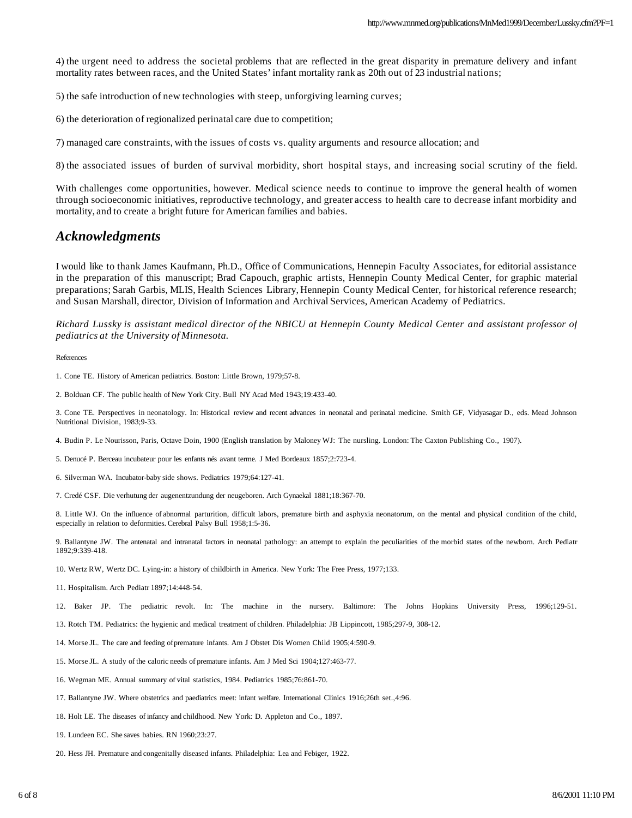4) the urgent need to address the societal problems that are reflected in the great disparity in premature delivery and infant mortality rates between races, and the United States' infant mortality rank as 20th out of 23 industrial nations;

5) the safe introduction of new technologies with steep, unforgiving learning curves;

6) the deterioration of regionalized perinatal care due to competition;

7) managed care constraints, with the issues of costs vs. quality arguments and resource allocation; and

8) the associated issues of burden of survival morbidity, short hospital stays, and increasing social scrutiny of the field.

With challenges come opportunities, however. Medical science needs to continue to improve the general health of women through socioeconomic initiatives, reproductive technology, and greater access to health care to decrease infant morbidity and mortality, and to create a bright future for American families and babies.

#### *Acknowledgments*

I would like to thank James Kaufmann, Ph.D., Office of Communications, Hennepin Faculty Associates, for editorial assistance in the preparation of this manuscript; Brad Capouch, graphic artists, Hennepin County Medical Center, for graphic material preparations; Sarah Garbis, MLIS, Health Sciences Library, Hennepin County Medical Center, for historical reference research; and Susan Marshall, director, Division of Information and Archival Services, American Academy of Pediatrics.

*Richard Lussky is assistant medical director of the NBICU at Hennepin County Medical Center and assistant professor of pediatrics at the University of Minnesota.*

#### References

2. Bolduan CF. The public health of New York City. Bull NY Acad Med 1943;19:433-40.

3. Cone TE. Perspectives in neonatology. In: Historical review and recent advances in neonatal and perinatal medicine. Smith GF, Vidyasagar D., eds. Mead Johnson Nutritional Division, 1983;9-33.

4. Budin P. Le Nourisson, Paris, Octave Doin, 1900 (English translation by Maloney WJ: The nursling. London: The Caxton Publishing Co., 1907).

- 5. Denucé P. Berceau incubateur pour les enfants nés avant terme. J Med Bordeaux 1857;2:723-4.
- 6. Silverman WA. Incubator-baby side shows. Pediatrics 1979;64:127-41.
- 7. Credé CSF. Die verhutung der augenentzundung der neugeboren. Arch Gynaekal 1881;18:367-70.

8. Little WJ. On the influence of abnormal parturition, difficult labors, premature birth and asphyxia neonatorum, on the mental and physical condition of the child, especially in relation to deformities. Cerebral Palsy Bull 1958;1:5-36.

9. Ballantyne JW. The antenatal and intranatal factors in neonatal pathology: an attempt to explain the peculiarities of the morbid states of the newborn. Arch Pediatr 1892;9:339-418.

10. Wertz RW, Wertz DC. Lying-in: a history of childbirth in America. New York: The Free Press, 1977;133.

11. Hospitalism. Arch Pediatr 1897;14:448-54.

12. Baker JP. The pediatric revolt. In: The machine in the nursery. Baltimore: The Johns Hopkins University Press, 1996;129-51.

13. Rotch TM. Pediatrics: the hygienic and medical treatment of children. Philadelphia: JB Lippincott, 1985;297-9, 308-12.

14. Morse JL. The care and feeding of premature infants. Am J Obstet Dis Women Child 1905;4:590-9.

15. Morse JL. A study of the caloric needs of premature infants. Am J Med Sci 1904;127:463-77.

- 16. Wegman ME. Annual summary of vital statistics, 1984. Pediatrics 1985;76:861-70.
- 17. Ballantyne JW. Where obstetrics and paediatrics meet: infant welfare. International Clinics 1916;26th set.,4:96.

18. Holt LE. The diseases of infancy and childhood. New York: D. Appleton and Co., 1897.

19. Lundeen EC. She saves babies. RN 1960;23:27.

20. Hess JH. Premature and congenitally diseased infants. Philadelphia: Lea and Febiger, 1922.

<sup>1.</sup> Cone TE. History of American pediatrics. Boston: Little Brown, 1979;57-8.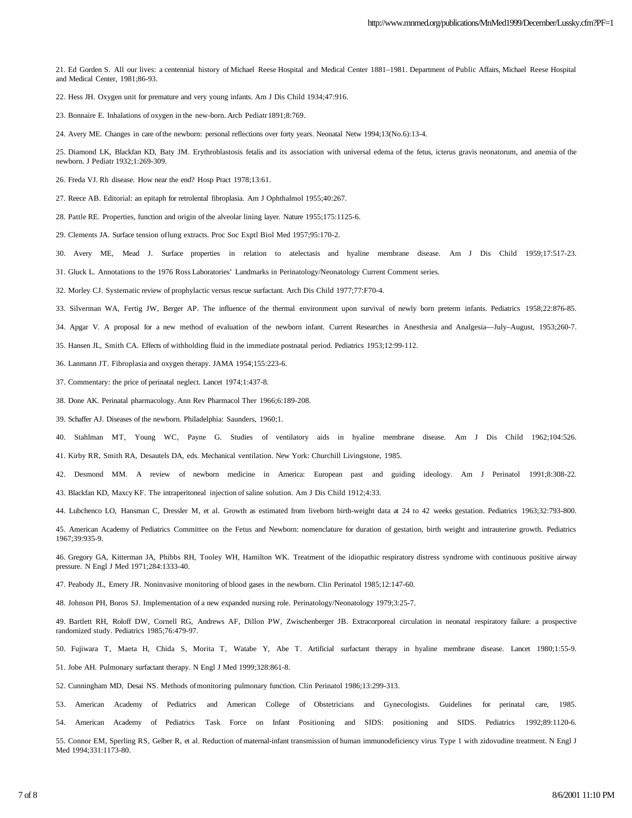21. Ed Gorden S. All our lives: a centennial history of Michael Reese Hospital and Medical Center 1881–1981. Department of Public Affairs, Michael Reese Hospital and Medical Center, 1981;86-93.

22. Hess JH. Oxygen unit for premature and very young infants. Am J Dis Child 1934;47:916.

23. Bonnaire E. Inhalations of oxygen in the new-born. Arch Pediatr 1891;8:769.

24. Avery ME. Changes in care of the newborn: personal reflections over forty years. Neonatal Netw 1994;13(No.6):13-4.

25. Diamond LK, Blackfan KD, Baty JM. Erythroblastosis fetalis and its association with universal edema of the fetus, icterus gravis neonatorum, and anemia of the newborn. J Pediatr 1932;1:269-309.

26. Freda VJ. Rh disease. How near the end? Hosp Pract 1978;13:61.

27. Reece AB. Editorial: an epitaph for retrolental fibroplasia. Am J Ophthalmol 1955;40:267.

28. Pattle RE. Properties, function and origin of the alveolar lining layer. Nature 1955;175:1125-6.

29. Clements JA. Surface tension of lung extracts. Proc Soc Exptl Biol Med 1957;95:170-2.

30. Avery ME, Mead J. Surface properties in relation to atelectasis and hyaline membrane disease. Am J Dis Child 1959;17:517-23.

31. Gluck L. Annotations to the 1976 Ross Laboratories' Landmarks in Perinatology/Neonatology Current Comment series.

32. Morley CJ. Systematic review of prophylactic versus rescue surfactant. Arch Dis Child 1977;77:F70-4.

33. Silverman WA, Fertig JW, Berger AP. The influence of the thermal environment upon survival of newly born preterm infants. Pediatrics 1958;22:876-85.

34. Apgar V. A proposal for a new method of evaluation of the newborn infant. Current Researches in Anesthesia and Analgesia—July–August, 1953;260-7.

35. Hansen JL, Smith CA. Effects of withholding fluid in the immediate postnatal period. Pediatrics 1953;12:99-112.

36. Lanmann JT. Fibroplasia and oxygen therapy. JAMA 1954;155:223-6.

- 37. Commentary: the price of perinatal neglect. Lancet 1974;1:437-8.
- 38. Done AK. Perinatal pharmacology. Ann Rev Pharmacol Ther 1966;6:189-208.
- 39. Schaffer AJ. Diseases of the newborn. Philadelphia: Saunders, 1960;1.

40. Stahlman MT, Young WC, Payne G. Studies of ventilatory aids in hyaline membrane disease. Am J Dis Child 1962;104:526.

41. Kirby RR, Smith RA, Desautels DA, eds. Mechanical ventilation. New York: Churchill Livingstone, 1985.

42. Desmond MM. A review of newborn medicine in America: European past and guiding ideology. Am J Perinatol 1991;8:308-22. 43. Blackfan KD, Maxcy KF. The intraperitoneal injection of saline solution. Am J Dis Child 1912;4:33.

44. Lubchenco LO, Hansman C, Dressler M, et al. Growth as estimated from liveborn birth-weight data at 24 to 42 weeks gestation. Pediatrics 1963;32:793-800.

45. American Academy of Pediatrics Committee on the Fetus and Newborn: nomenclature for duration of gestation, birth weight and intrauterine growth. Pediatrics 1967;39:935-9.

46. Gregory GA, Kitterman JA, Phibbs RH, Tooley WH, Hamilton WK. Treatment of the idiopathic respiratory distress syndrome with continuous positive airway pressure. N Engl J Med 1971;284:1333-40.

47. Peabody JL, Emery JR. Noninvasive monitoring of blood gases in the newborn. Clin Perinatol 1985;12:147-60.

48. Johnson PH, Boros SJ. Implementation of a new expanded nursing role. Perinatology/Neonatology 1979;3:25-7.

49. Bartlett RH, Roloff DW, Cornell RG, Andrews AF, Dillon PW, Zwischenberger JB. Extracorporeal circulation in neonatal respiratory failure: a prospective randomized study. Pediatrics 1985;76:479-97.

50. Fujiwara T, Maeta H, Chida S, Morita T, Watabe Y, Abe T. Artificial surfactant therapy in hyaline membrane disease. Lancet 1980;1:55-9.

51. Jobe AH. Pulmonary surfactant therapy. N Engl J Med 1999;328:861-8.

52. Cunningham MD, Desai NS. Methods of monitoring pulmonary function. Clin Perinatol 1986;13:299-313.

53. American Academy of Pediatrics and American College of Obstetricians and Gynecologists. Guidelines for perinatal care, 1985. 54. American Academy of Pediatrics Task Force on Infant Positioning and SIDS: positioning and SIDS. Pediatrics 1992;89:1120-6.

55. Connor EM, Sperling RS, Gelber R, et al. Reduction of maternal-infant transmission of human immunodeficiency virus Type 1 with zidovudine treatment. N Engl J Med 1994;331:1173-80.